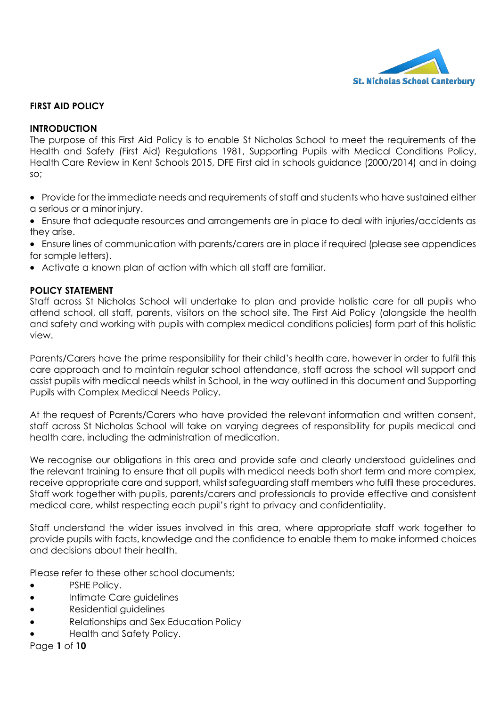

## **FIRST AID POLICY**

### **INTRODUCTION**

The purpose of this First Aid Policy is to enable St Nicholas School to meet the requirements of the Health and Safety (First Aid) Regulations 1981, Supporting Pupils with Medical Conditions Policy, Health Care Review in Kent Schools 2015, DFE First aid in schools guidance (2000/2014) and in doing so;

- Provide for the immediate needs and requirements of staff and students who have sustained either a serious or a minor injury.
- Ensure that adequate resources and arrangements are in place to deal with injuries/accidents as they arise.
- Ensure lines of communication with parents/carers are in place if required (please see appendices for sample letters).
- Activate a known plan of action with which all staff are familiar.

### **POLICY STATEMENT**

Staff across St Nicholas School will undertake to plan and provide holistic care for all pupils who attend school, all staff, parents, visitors on the school site. The First Aid Policy (alongside the health and safety and working with pupils with complex medical conditions policies) form part of this holistic view.

Parents/Carers have the prime responsibility for their child's health care, however in order to fulfil this care approach and to maintain regular school attendance, staff across the school will support and assist pupils with medical needs whilst in School, in the way outlined in this document and Supporting Pupils with Complex Medical Needs Policy.

At the request of Parents/Carers who have provided the relevant information and written consent, staff across St Nicholas School will take on varying degrees of responsibility for pupils medical and health care, including the administration of medication.

We recognise our obligations in this area and provide safe and clearly understood guidelines and the relevant training to ensure that all pupils with medical needs both short term and more complex, receive appropriate care and support, whilst safeguarding staff members who fulfil these procedures. Staff work together with pupils, parents/carers and professionals to provide effective and consistent medical care, whilst respecting each pupil's right to privacy and confidentiality.

Staff understand the wider issues involved in this area, where appropriate staff work together to provide pupils with facts, knowledge and the confidence to enable them to make informed choices and decisions about their health.

Please refer to these other school documents;

- **PSHE Policy.**
- Intimate Care guidelines
- Residential guidelines
- Relationships and Sex Education Policy
- Health and Safety Policy.

Page **1** of **10**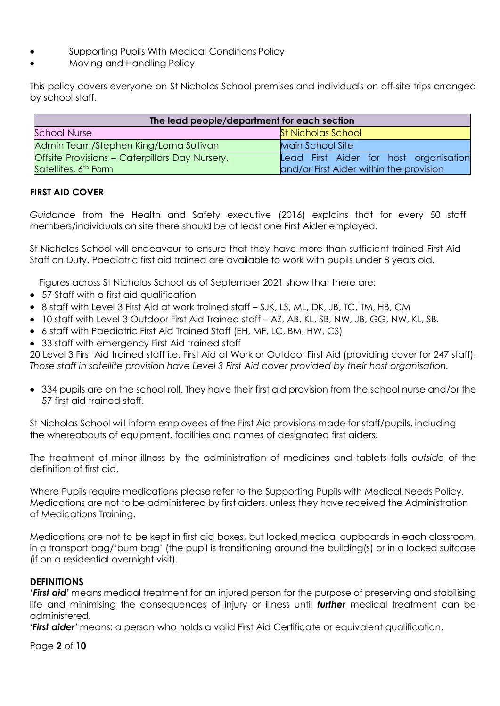- Supporting Pupils With Medical Conditions Policy
- Moving and Handling Policy

This policy covers everyone on St Nicholas School premises and individuals on off-site trips arranged by school staff.

| The lead people/department for each section           |                                         |
|-------------------------------------------------------|-----------------------------------------|
| <b>School Nurse</b>                                   | <b>St Nicholas School</b>               |
| Admin Team/Stephen King/Lorna Sullivan                | Main School Site                        |
| <b>Offsite Provisions - Caterpillars Day Nursery,</b> | Lead First Aider for host organisation  |
| Satellites, 6 <sup>th</sup> Form                      | and/or First Aider within the provision |

# **FIRST AID COVER**

*Guidance* from the Health and Safety executive (2016) explains that for every 50 staff members/individuals on site there should be at least one First Aider employed.

St Nicholas School will endeavour to ensure that they have more than sufficient trained First Aid Staff on Duty. Paediatric first aid trained are available to work with pupils under 8 years old.

Figures across St Nicholas School as of September 2021 show that there are:

- 57 Staff with a first aid qualification
- 8 staff with Level 3 First Aid at work trained staff SJK, LS, ML, DK, JB, TC, TM, HB, CM
- 10 staff with Level 3 Outdoor First Aid Trained staff AZ, AB, KL, SB, NW, JB, GG, NW, KL, SB.
- 6 staff with Paediatric First Aid Trained Staff (EH, MF, LC, BM, HW, CS)
- 33 staff with emergency First Aid trained staff

20 Level 3 First Aid trained staff i.e. First Aid at Work or Outdoor First Aid (providing cover for 247 staff). *Those staff in satellite provision have Level 3 First Aid cover provided by their host organisation.*

 334 pupils are on the school roll. They have their first aid provision from the school nurse and/or the 57 first aid trained staff.

St Nicholas School will inform employees of the First Aid provisions made for staff/pupils, including the whereabouts of equipment, facilities and names of designated first aiders.

The treatment of minor illness by the administration of medicines and tablets falls *outside* of the definition of first aid.

Where Pupils require medications please refer to the Supporting Pupils with Medical Needs Policy. Medications are not to be administered by first aiders, unless they have received the Administration of Medications Training.

Medications are not to be kept in first aid boxes, but locked medical cupboards in each classroom, in a transport bag/'bum bag' (the pupil is transitioning around the building(s) or in a locked suitcase (if on a residential overnight visit).

## **DEFINITIONS**

'*First aid'* means medical treatment for an injured person for the purpose of preserving and stabilising life and minimising the consequences of injury or illness until *further* medical treatment can be administered.

**'***First aider'* means: a person who holds a valid First Aid Certificate or equivalent qualification.

Page **2** of **10**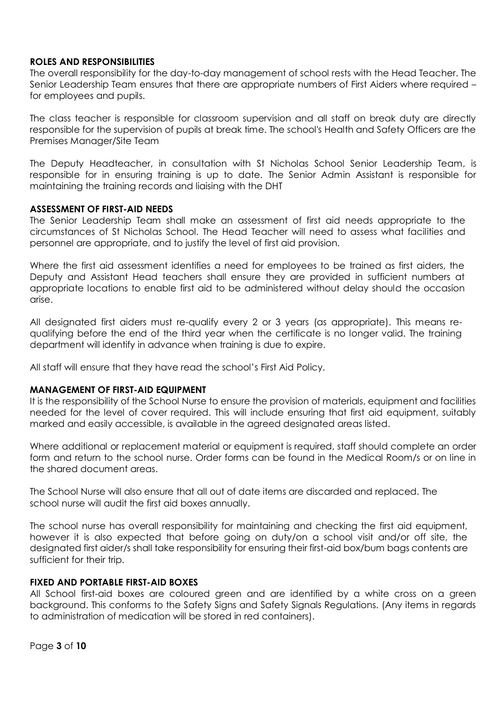### **ROLES AND RESPONSIBILITIES**

The overall responsibility for the day-to-day management of school rests with the Head Teacher. The Senior Leadership Team ensures that there are appropriate numbers of First Aiders where required – for employees and pupils.

The class teacher is responsible for classroom supervision and all staff on break duty are directly responsible for the supervision of pupils at break time. The school's Health and Safety Officers are the Premises Manager/Site Team

The Deputy Headteacher, in consultation with St Nicholas School Senior Leadership Team, is responsible for in ensuring training is up to date. The Senior Admin Assistant is responsible for maintaining the training records and liaising with the DHT

### **ASSESSMENT OF FIRST-AID NEEDS**

The Senior Leadership Team shall make an assessment of first aid needs appropriate to the circumstances of St Nicholas School. The Head Teacher will need to assess what facilities and personnel are appropriate, and to justify the level of first aid provision.

Where the first aid assessment identifies a need for employees to be trained as first aiders, the Deputy and Assistant Head teachers shall ensure they are provided in sufficient numbers at appropriate locations to enable first aid to be administered without delay should the occasion arise.

All designated first aiders must re-qualify every 2 or 3 years (as appropriate). This means requalifying before the end of the third year when the certificate is no longer valid. The training department will identify in advance when training is due to expire.

All staff will ensure that they have read the school's First Aid Policy.

### **MANAGEMENT OF FIRST-AID EQUIPMENT**

It is the responsibility of the School Nurse to ensure the provision of materials, equipment and facilities needed for the level of cover required. This will include ensuring that first aid equipment, suitably marked and easily accessible, is available in the agreed designated areas listed.

Where additional or replacement material or equipment is required, staff should complete an order form and return to the school nurse. Order forms can be found in the Medical Room/s or on line in the shared document areas.

The School Nurse will also ensure that all out of date items are discarded and replaced. The school nurse will audit the first aid boxes annually.

The school nurse has overall responsibility for maintaining and checking the first aid equipment, however it is also expected that before going on duty/on a school visit and/or off site, the designated first aider/s shall take responsibility for ensuring their first-aid box/bum bags contents are sufficient for their trip.

### **FIXED AND PORTABLE FIRST-AID BOXES**

All School first-aid boxes are coloured green and are identified by a white cross on a green background. This conforms to the Safety Signs and Safety Signals Regulations. (Any items in regards to administration of medication will be stored in red containers).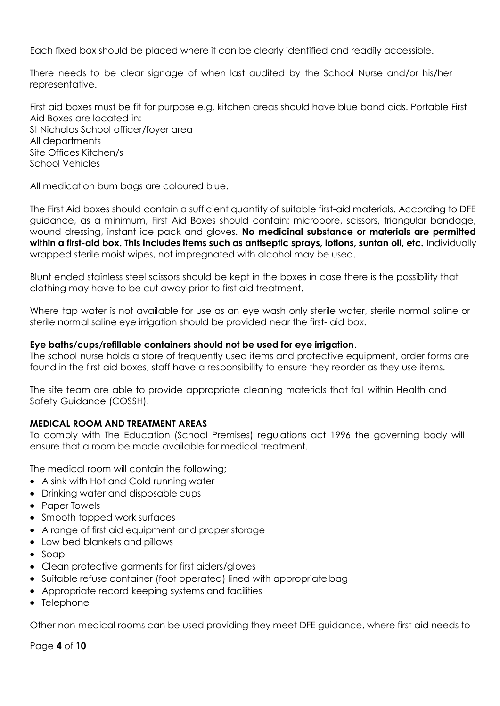Each fixed box should be placed where it can be clearly identified and readily accessible.

There needs to be clear signage of when last audited by the School Nurse and/or his/her representative.

First aid boxes must be fit for purpose e.g. kitchen areas should have blue band aids. Portable First Aid Boxes are located in: St Nicholas School officer/foyer area All departments Site Offices Kitchen/s School Vehicles

All medication bum bags are coloured blue.

The First Aid boxes should contain a sufficient quantity of suitable first-aid materials. According to DFE guidance, as a minimum, First Aid Boxes should contain: micropore, scissors, triangular bandage, wound dressing, instant ice pack and gloves. **No medicinal substance or materials are permitted within a first-aid box. This includes items such as antiseptic sprays, lotions, suntan oil, etc.** Individually wrapped sterile moist wipes, not impregnated with alcohol may be used.

Blunt ended stainless steel scissors should be kept in the boxes in case there is the possibility that clothing may have to be cut away prior to first aid treatment.

Where tap water is not available for use as an eye wash only sterile water, sterile normal saline or sterile normal saline eye irrigation should be provided near the first- aid box.

#### **Eye baths/cups/refillable containers should not be used for eye irrigation**.

The school nurse holds a store of frequently used items and protective equipment, order forms are found in the first aid boxes, staff have a responsibility to ensure they reorder as they use items.

The site team are able to provide appropriate cleaning materials that fall within Health and Safety Guidance (COSSH).

### **MEDICAL ROOM AND TREATMENT AREAS**

To comply with The Education (School Premises) regulations act 1996 the governing body will ensure that a room be made available for medical treatment.

The medical room will contain the following;

- A sink with Hot and Cold running water
- Drinking water and disposable cups
- Paper Towels
- Smooth topped work surfaces
- A range of first aid equipment and proper storage
- Low bed blankets and pillows
- Soap
- Clean protective garments for first aiders/gloves
- Suitable refuse container (foot operated) lined with appropriate bag
- Appropriate record keeping systems and facilities
- Telephone

Other non-medical rooms can be used providing they meet DFE guidance, where first aid needs to

Page **4** of **10**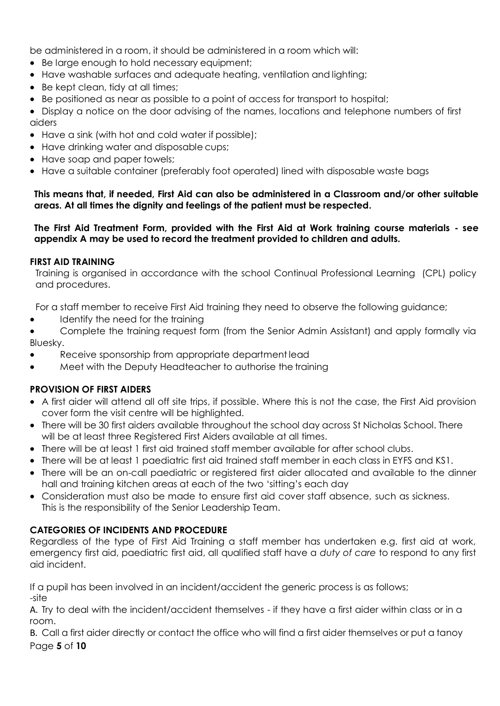be administered in a room, it should be administered in a room which will:

- Be large enough to hold necessary equipment;
- Have washable surfaces and adequate heating, ventilation and lighting;
- Be kept clean, tidy at all times;
- Be positioned as near as possible to a point of access for transport to hospital;

 Display a notice on the door advising of the names, locations and telephone numbers of first aiders

- Have a sink (with hot and cold water if possible);
- Have drinking water and disposable cups;
- Have soap and paper towels;
- Have a suitable container (preferably foot operated) lined with disposable waste bags

**This means that, if needed, First Aid can also be administered in a Classroom and/or other suitable areas. At all times the dignity and feelings of the patient must be respected.** 

### **The First Aid Treatment Form, provided with the First Aid at Work training course materials - see appendix A may be used to record the treatment provided to children and adults.**

### **FIRST AID TRAINING**

Training is organised in accordance with the school Continual Professional Learning (CPL) policy and procedures.

For a staff member to receive First Aid training they need to observe the following guidance;

- Identify the need for the training
- Complete the training request form (from the Senior Admin Assistant) and apply formally via Bluesky.
- Receive sponsorship from appropriate department lead
- Meet with the Deputy Headteacher to authorise the training

## **PROVISION OF FIRST AIDERS**

- A first aider will attend all off site trips, if possible. Where this is not the case, the First Aid provision cover form the visit centre will be highlighted.
- There will be 30 first aiders available throughout the school day across St Nicholas School. There will be at least three Registered First Aiders available at all times.
- There will be at least 1 first aid trained staff member available for after school clubs.
- There will be at least 1 paediatric first aid trained staff member in each class in EYFS and KS1.
- There will be an on-call paediatric or registered first aider allocated and available to the dinner hall and training kitchen areas at each of the two 'sitting's each day
- Consideration must also be made to ensure first aid cover staff absence, such as sickness. This is the responsibility of the Senior Leadership Team.

# **CATEGORIES OF INCIDENTS AND PROCEDURE**

Regardless of the type of First Aid Training a staff member has undertaken e.g. first aid at work, emergency first aid, paediatric first aid, all qualified staff have a *duty of care* to respond to any first aid incident.

If a pupil has been involved in an incident/accident the generic process is as follows; -site

A. Try to deal with the incident/accident themselves - if they have a first aider within class or in a room.

Page **5** of **10** B. Call a first aider directly or contact the office who will find a first aider themselves or put a tanoy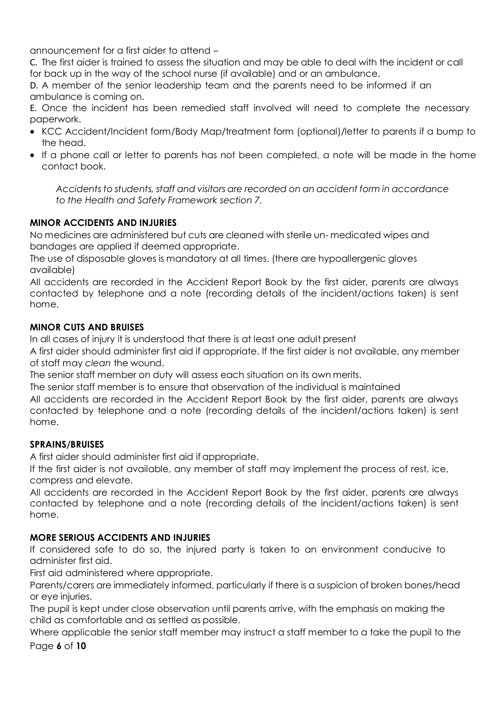announcement for a first aider to attend –

C. The first aider is trained to assess the situation and may be able to deal with the incident or call for back up in the way of the school nurse (if available) and or an ambulance.

D. A member of the senior leadership team and the parents need to be informed if an ambulance is coming on.

E. Once the incident has been remedied staff involved will need to complete the necessary paperwork.

- KCC Accident/Incident form/Body Map/treatment form (optional)/letter to parents if a bump to the head.
- If a phone call or letter to parents has not been completed, a note will be made in the home contact book.

*Accidents to students, staff and visitors are recorded on an accident form in accordance to the Health and Safety Framework section 7.*

# **MINOR ACCIDENTS AND INJURIES**

 No medicines are administered but cuts are cleaned with sterile un- medicated wipes and bandages are applied if deemed appropriate.

 The use of disposable gloves is mandatory at all times. (there are hypoallergenic gloves available)

 All accidents are recorded in the Accident Report Book by the first aider, parents are always contacted by telephone and a note (recording details of the incident/actions taken) is sent home.

# **MINOR CUTS AND BRUISES**

In all cases of injury it is understood that there is at least one adult present

 A first aider should administer first aid if appropriate. If the first aider is not available, any member of staff may *clean* the wound.

The senior staff member on duty will assess each situation on its own merits.

The senior staff member is to ensure that observation of the individual is maintained

 All accidents are recorded in the Accident Report Book by the first aider, parents are always contacted by telephone and a note (recording details of the incident/actions taken) is sent home.

# **SPRAINS/BRUISES**

A first aider should administer first aid if appropriate.

 If the first aider is not available, any member of staff may implement the process of rest, ice, compress and elevate.

 All accidents are recorded in the Accident Report Book by the first aider, parents are always contacted by telephone and a note (recording details of the incident/actions taken) is sent home.

# **MORE SERIOUS ACCIDENTS AND INJURIES**

 If considered safe to do so, the injured party is taken to an environment conducive to administer first aid.

First aid administered where appropriate.

 Parents/carers are immediately informed, particularly if there is a suspicion of broken bones/head or eye injuries.

 The pupil is kept under close observation until parents arrive, with the emphasis on making the child as comfortable and as settled as possible.

Where applicable the senior staff member may instruct a staff member to a take the pupil to the

Page **6** of **10**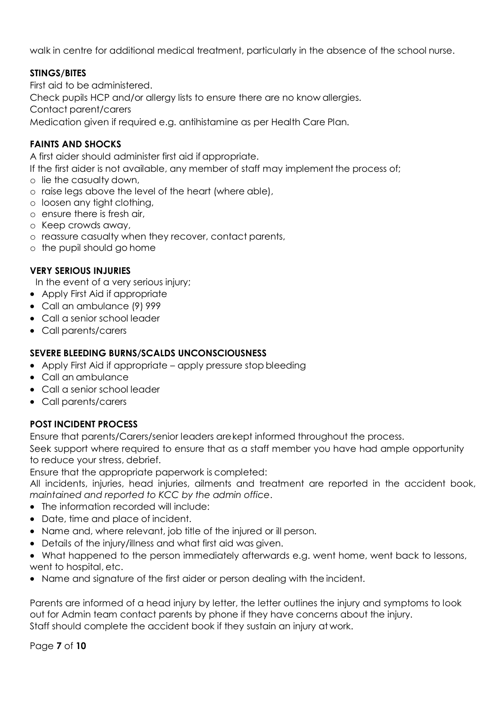walk in centre for additional medical treatment, particularly in the absence of the school nurse.

# **STINGS/BITES**

 First aid to be administered. Check pupils HCP and/or allergy lists to ensure there are no know allergies. Contact parent/carers Medication given if required e.g. antihistamine as per Health Care Plan.

# **FAINTS AND SHOCKS**

A first aider should administer first aid if appropriate.

If the first aider is not available, any member of staff may implement the process of;

- o lie the casualty down,
- o raise legs above the level of the heart (where able),
- o loosen any tight clothing,
- o ensure there is fresh air,
- o Keep crowds away,
- o reassure casualty when they recover, contact parents,
- o the pupil should go home

## **VERY SERIOUS INJURIES**

In the event of a very serious injury;

- Apply First Aid if appropriate
- Call an ambulance (9) 999
- Call a senior school leader
- Call parents/carers

### **SEVERE BLEEDING BURNS/SCALDS UNCONSCIOUSNESS**

- Apply First Aid if appropriate apply pressure stop bleeding
- Call an ambulance
- Call a senior school leader
- Call parents/carers

## **POST INCIDENT PROCESS**

Ensure that parents/Carers/senior leaders arekept informed throughout the process.

 Seek support where required to ensure that as a staff member you have had ample opportunity to reduce your stress, debrief.

Ensure that the appropriate paperwork is completed:

All incidents, injuries, head injuries, ailments and treatment are reported in the accident book, *maintained and reported to KCC by the admin office*.

- The information recorded will include:
- Date, time and place of incident.
- Name and, where relevant, job title of the injured or ill person.
- Details of the injury/illness and what first aid was given.
- What happened to the person immediately afterwards e.g. went home, went back to lessons, went to hospital, etc.
- Name and signature of the first aider or person dealing with the incident.

 Parents are informed of a head injury by letter, the letter outlines the injury and symptoms to look out for Admin team contact parents by phone if they have concerns about the injury. Staff should complete the accident book if they sustain an injury at work.

Page **7** of **10**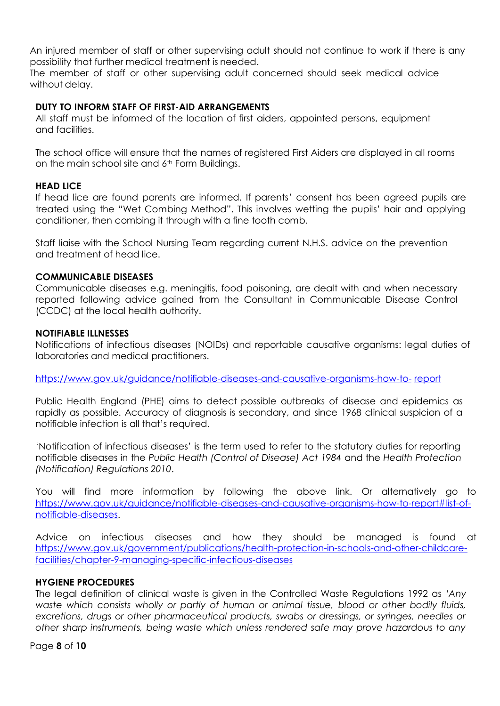An injured member of staff or other supervising adult should not continue to work if there is any possibility that further medical treatment is needed.

The member of staff or other supervising adult concerned should seek medical advice without delay.

### **DUTY TO INFORM STAFF OF FIRST-AID ARRANGEMENTS**

All staff must be informed of the location of first aiders, appointed persons, equipment and facilities.

The school office will ensure that the names of registered First Aiders are displayed in all rooms on the main school site and  $6<sup>th</sup>$  Form Buildings.

### **HEAD LICE**

If head lice are found parents are informed. If parents' consent has been agreed pupils are treated using the "Wet Combing Method". This involves wetting the pupils' hair and applying conditioner, then combing it through with a fine tooth comb.

Staff liaise with the School Nursing Team regarding current N.H.S. advice on the prevention and treatment of head lice.

### **COMMUNICABLE DISEASES**

Communicable diseases e.g. meningitis, food poisoning, are dealt with and when necessary reported following advice gained from the Consultant in Communicable Disease Control (CCDC) at the local health authority.

### **NOTIFIABLE ILLNESSES**

Notifications of infectious diseases (NOIDs) and reportable causative organisms: legal duties of laboratories and medical practitioners.

[https://www.gov.uk/guidance/notifiable-diseases-and-causative-organisms-how-to-](https://www.gov.uk/guidance/notifiable-diseases-and-causative-organisms-how-to-report) [report](https://www.gov.uk/guidance/notifiable-diseases-and-causative-organisms-how-to-report)

Public Health England (PHE) aims to detect possible outbreaks of disease and epidemics as rapidly as possible. Accuracy of diagnosis is secondary, and since 1968 clinical suspicion of a notifiable infection is all that's required.

'Notification of infectious diseases' is the term used to refer to the statutory duties for reporting notifiable diseases in the *[Public Health \(Control of Disease\) Act 1984](http://www.legislation.gov.uk/ukpga/1984/22)* and the *[Health Protection](http://www.legislation.gov.uk/uksi/2010/659/contents/made)  [\(Notification\) Regulations 2010](http://www.legislation.gov.uk/uksi/2010/659/contents/made)*.

You will find more information by following the above link. Or alternatively go to [https://www.gov.uk/guidance/notifiable-diseases-and-causative-organisms-how-to-report#list-of](https://www.gov.uk/guidance/notifiable-diseases-and-causative-organisms-how-to-report#list-of-notifiable-diseases)[notifiable-diseases.](https://www.gov.uk/guidance/notifiable-diseases-and-causative-organisms-how-to-report#list-of-notifiable-diseases)

Advice on infectious diseases and how they should be managed is found at [https://www.gov.uk/government/publications/health-protection-in-schools-and-other-childcare](https://www.gov.uk/government/publications/health-protection-in-schools-and-other-childcare-facilities/chapter-9-managing-specific-infectious-diseases)[facilities/chapter-9-managing-specific-infectious-diseases](https://www.gov.uk/government/publications/health-protection-in-schools-and-other-childcare-facilities/chapter-9-managing-specific-infectious-diseases)

### **HYGIENE PROCEDURES**

The legal definition of clinical waste is given in the Controlled Waste Regulations 1992 as *'Any waste which consists wholly or partly of human or animal tissue, blood or other bodily fluids, excretions, drugs or other pharmaceutical products, swabs or dressings, or syringes, needles or other sharp instruments, being waste which unless rendered safe may prove hazardous to any* 

Page **8** of **10**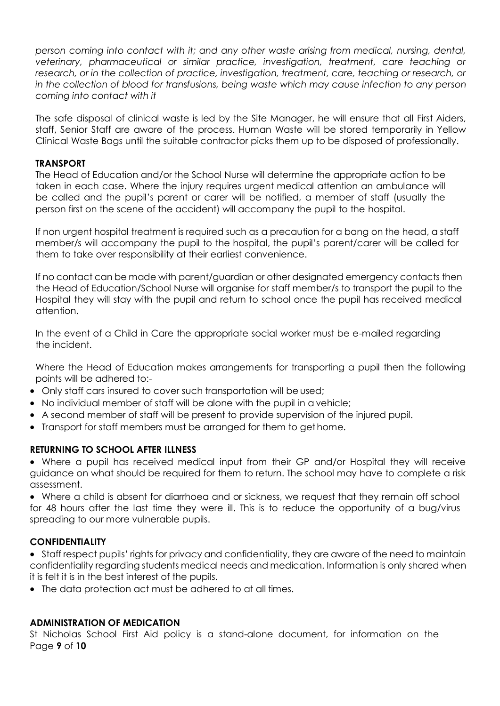*person coming into contact with it; and any other waste arising from medical, nursing, dental, veterinary, pharmaceutical or similar practice, investigation, treatment, care teaching or*  research, or in the collection of practice, investigation, treatment, care, teaching or research, or *in the collection of blood for transfusions, being waste which may cause infection to any person coming into contact with it*

The safe disposal of clinical waste is led by the Site Manager, he will ensure that all First Aiders, staff, Senior Staff are aware of the process. Human Waste will be stored temporarily in Yellow Clinical Waste Bags until the suitable contractor picks them up to be disposed of professionally.

## **TRANSPORT**

The Head of Education and/or the School Nurse will determine the appropriate action to be taken in each case. Where the injury requires urgent medical attention an ambulance will be called and the pupil's parent or carer will be notified, a member of staff (usually the person first on the scene of the accident) will accompany the pupil to the hospital.

If non urgent hospital treatment is required such as a precaution for a bang on the head, a staff member/s will accompany the pupil to the hospital, the pupil's parent/carer will be called for them to take over responsibility at their earliest convenience.

If no contact can be made with parent/guardian or other designated emergency contacts then the Head of Education/School Nurse will organise for staff member/s to transport the pupil to the Hospital they will stay with the pupil and return to school once the pupil has received medical attention.

In the event of a Child in Care the appropriate social worker must be e-mailed regarding the incident.

Where the Head of Education makes arrangements for transporting a pupil then the following points will be adhered to:-

- Only staff cars insured to cover such transportation will be used;
- No individual member of staff will be alone with the pupil in a vehicle;
- A second member of staff will be present to provide supervision of the injured pupil.
- Transport for staff members must be arranged for them to get home.

## **RETURNING TO SCHOOL AFTER ILLNESS**

 Where a pupil has received medical input from their GP and/or Hospital they will receive guidance on what should be required for them to return. The school may have to complete a risk assessment.

 Where a child is absent for diarrhoea and or sickness, we request that they remain off school for 48 hours after the last time they were ill. This is to reduce the opportunity of a bug/virus spreading to our more vulnerable pupils.

# **CONFIDENTIALITY**

 Staff respect pupils' rights for privacy and confidentiality, they are aware of the need to maintain confidentiality regarding students medical needs and medication. Information is only shared when it is felt it is in the best interest of the pupils.

The data protection act must be adhered to at all times.

# **ADMINISTRATION OF MEDICATION**

Page **9** of **10** St Nicholas School First Aid policy is a stand-alone document, for information on the